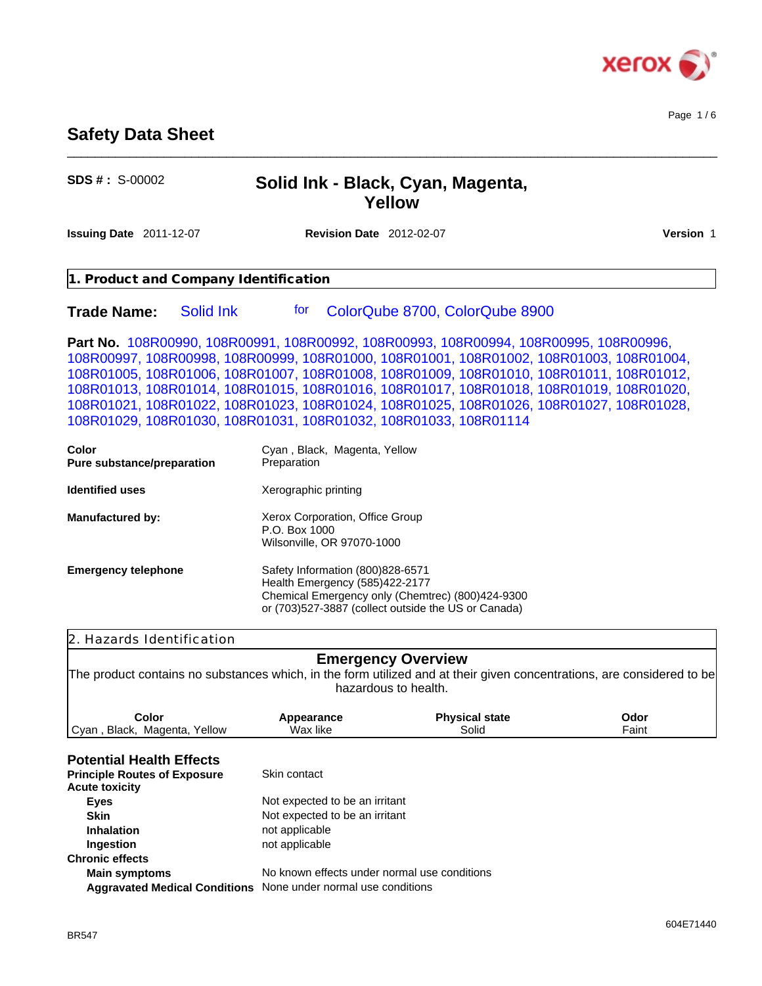

Page 1 / 6

# **Safety Data Sheet**

| $SDS # : S-00002$                                                                                                                                                                                                                                                                                                                                                                                                                                                                                                                     | Solid Ink - Black, Cyan, Magenta,<br>Yellow                                                                                                                                   |                                |                  |
|---------------------------------------------------------------------------------------------------------------------------------------------------------------------------------------------------------------------------------------------------------------------------------------------------------------------------------------------------------------------------------------------------------------------------------------------------------------------------------------------------------------------------------------|-------------------------------------------------------------------------------------------------------------------------------------------------------------------------------|--------------------------------|------------------|
| Issuing Date 2011-12-07                                                                                                                                                                                                                                                                                                                                                                                                                                                                                                               | <b>Revision Date</b> 2012-02-07                                                                                                                                               |                                | <b>Version 1</b> |
| 1. Product and Company Identification                                                                                                                                                                                                                                                                                                                                                                                                                                                                                                 |                                                                                                                                                                               |                                |                  |
| <b>Trade Name:</b><br>Solid Ink                                                                                                                                                                                                                                                                                                                                                                                                                                                                                                       | for                                                                                                                                                                           | ColorQube 8700, ColorQube 8900 |                  |
| Part No. 108R00990, 108R00991, 108R00992, 108R00993, 108R00994, 108R00995, 108R00996,<br>108R00997, 108R00998, 108R00999, 108R01000, 108R01001, 108R01002, 108R01003, 108R01004,<br>108R01005, 108R01006, 108R01007, 108R01008, 108R01009, 108R01010, 108R01011, 108R01012,<br>108R01013, 108R01014, 108R01015, 108R01016, 108R01017, 108R01018, 108R01019, 108R01020,<br>108R01021, 108R01022, 108R01023, 108R01024, 108R01025, 108R01026, 108R01027, 108R01028,<br>108R01029, 108R01030, 108R01031, 108R01032, 108R01033, 108R01114 |                                                                                                                                                                               |                                |                  |
| Color<br>Pure substance/preparation                                                                                                                                                                                                                                                                                                                                                                                                                                                                                                   | Cyan, Black, Magenta, Yellow<br>Preparation                                                                                                                                   |                                |                  |
| <b>Identified uses</b>                                                                                                                                                                                                                                                                                                                                                                                                                                                                                                                | Xerographic printing                                                                                                                                                          |                                |                  |
| <b>Manufactured by:</b>                                                                                                                                                                                                                                                                                                                                                                                                                                                                                                               | Xerox Corporation, Office Group<br>P.O. Box 1000<br>Wilsonville, OR 97070-1000                                                                                                |                                |                  |
| <b>Emergency telephone</b>                                                                                                                                                                                                                                                                                                                                                                                                                                                                                                            | Safety Information (800)828-6571<br>Health Emergency (585)422-2177<br>Chemical Emergency only (Chemtrec) (800)424-9300<br>or (703)527-3887 (collect outside the US or Canada) |                                |                  |
| 2. Hazards Identification                                                                                                                                                                                                                                                                                                                                                                                                                                                                                                             |                                                                                                                                                                               |                                |                  |
| The product contains no substances which, in the form utilized and at their given concentrations, are considered to be                                                                                                                                                                                                                                                                                                                                                                                                                | <b>Emergency Overview</b><br>hazardous to health.                                                                                                                             |                                |                  |
| Color<br>Cyan, Black, Magenta, Yellow                                                                                                                                                                                                                                                                                                                                                                                                                                                                                                 | Appearance<br>Wax like                                                                                                                                                        | <b>Physical state</b><br>Solid | Odor<br>Faint    |
| <b>Potential Health Effects</b><br><b>Principle Routes of Exposure</b><br><b>Acute toxicity</b>                                                                                                                                                                                                                                                                                                                                                                                                                                       | Skin contact                                                                                                                                                                  |                                |                  |
| <b>Eyes</b><br><b>Skin</b><br><b>Inhalation</b>                                                                                                                                                                                                                                                                                                                                                                                                                                                                                       | Not expected to be an irritant<br>Not expected to be an irritant<br>not applicable                                                                                            |                                |                  |
| Ingestion<br><b>Chronic effects</b>                                                                                                                                                                                                                                                                                                                                                                                                                                                                                                   | not applicable                                                                                                                                                                |                                |                  |
| <b>Main symptoms</b>                                                                                                                                                                                                                                                                                                                                                                                                                                                                                                                  | No known effects under normal use conditions<br>Aggravated Medical Conditions None under normal use conditions                                                                |                                |                  |

\_\_\_\_\_\_\_\_\_\_\_\_\_\_\_\_\_\_\_\_\_\_\_\_\_\_\_\_\_\_\_\_\_\_\_\_\_\_\_\_\_\_\_\_\_\_\_\_\_\_\_\_\_\_\_\_\_\_\_\_\_\_\_\_\_\_\_\_\_\_\_\_\_\_\_\_\_\_\_\_\_\_\_\_\_\_\_\_\_\_\_\_\_\_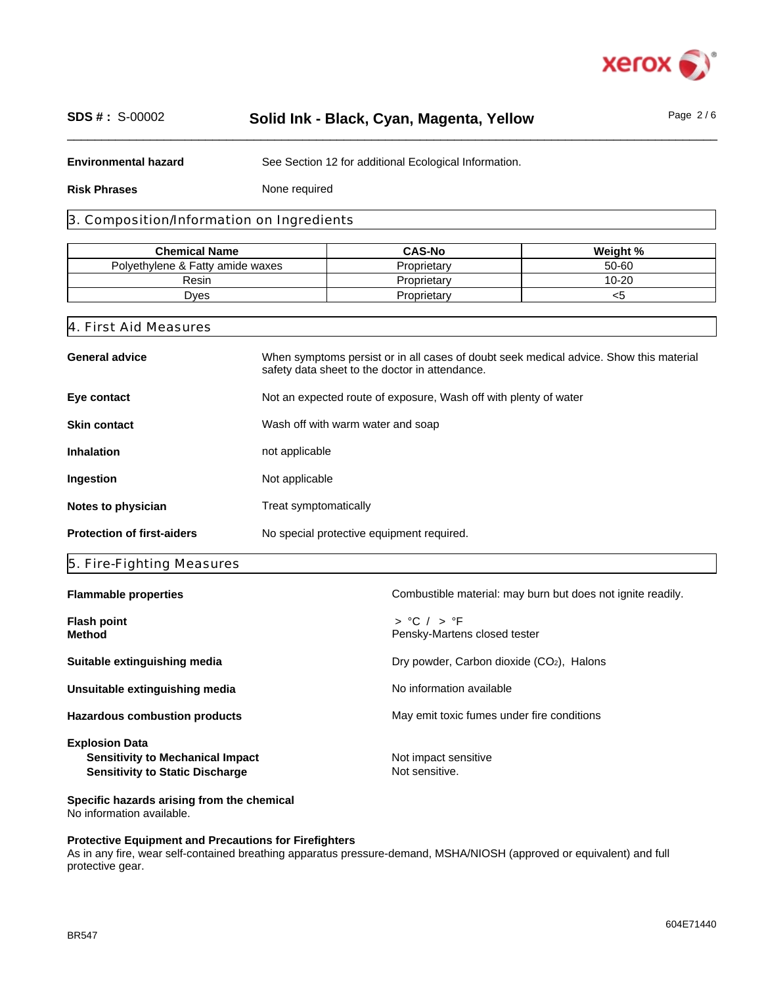

# \_\_\_\_\_\_\_\_\_\_\_\_\_\_\_\_\_\_\_\_\_\_\_\_\_\_\_\_\_\_\_\_\_\_\_\_\_\_\_\_\_\_\_\_\_\_\_\_\_\_\_\_\_\_\_\_\_\_\_\_\_\_\_\_\_\_\_\_\_\_\_\_\_\_\_\_\_\_\_\_\_\_\_\_\_\_\_\_\_\_\_\_\_\_ **SDS # :** S-00002 **Solid Ink - Black, Cyan, Magenta, Yellow** Page 2 / 6

**Environmental hazard** See Section 12 for additional Ecological Information.

**Risk Phrases**

None required

## 3. Composition/Information on Ingredients

| <b>Chemical Name</b>             | <b>CAS-No</b> | Weight %  |
|----------------------------------|---------------|-----------|
| Polvethylene & Fatty amide waxes | Proprietarv   | 50-60     |
| Resin                            | Proprietarv   | $10 - 20$ |
| Dves                             | Proprietarv   | 53        |

| 4. First Aid Measures             |                                                                                                                                          |  |
|-----------------------------------|------------------------------------------------------------------------------------------------------------------------------------------|--|
| <b>General advice</b>             | When symptoms persist or in all cases of doubt seek medical advice. Show this material<br>safety data sheet to the doctor in attendance. |  |
| Eye contact                       | Not an expected route of exposure, Wash off with plenty of water                                                                         |  |
| <b>Skin contact</b>               | Wash off with warm water and soap                                                                                                        |  |
| <b>Inhalation</b>                 | not applicable                                                                                                                           |  |
| Ingestion                         | Not applicable                                                                                                                           |  |
| Notes to physician                | Treat symptomatically                                                                                                                    |  |
| <b>Protection of first-aiders</b> | No special protective equipment required.                                                                                                |  |

# 5. Fire-Fighting Measures

| <b>Flammable properties</b>             | Combustible material: may burn but does not ignite readily. |
|-----------------------------------------|-------------------------------------------------------------|
| <b>Flash point</b><br><b>Method</b>     | $>$ °C $/$ $>$ °F<br>Pensky-Martens closed tester           |
| Suitable extinguishing media            | Dry powder, Carbon dioxide (CO <sub>2</sub> ), Halons       |
| Unsuitable extinguishing media          | No information available                                    |
| <b>Hazardous combustion products</b>    | May emit toxic fumes under fire conditions                  |
| <b>Explosion Data</b>                   |                                                             |
| <b>Sensitivity to Mechanical Impact</b> | Not impact sensitive                                        |
| <b>Sensitivity to Static Discharge</b>  | Not sensitive.                                              |

**Specific hazards arising from the chemical** No information available.

### **Protective Equipment and Precautions for Firefighters**

As in any fire, wear self-contained breathing apparatus pressure-demand, MSHA/NIOSH (approved or equivalent) and full protective gear.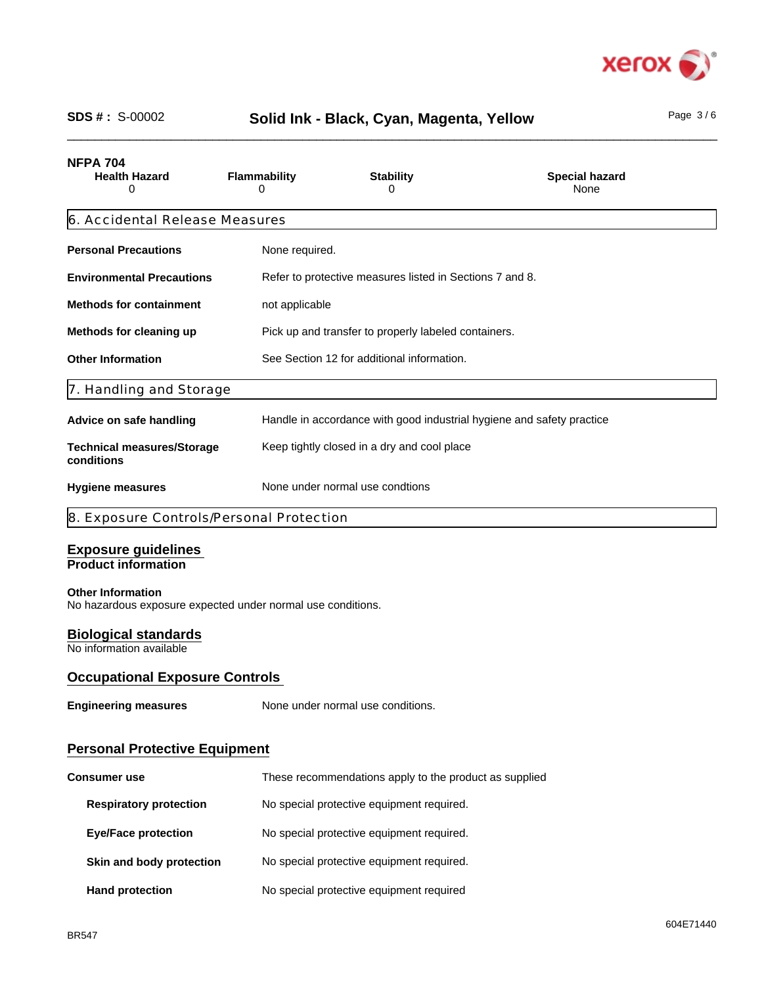

# \_\_\_\_\_\_\_\_\_\_\_\_\_\_\_\_\_\_\_\_\_\_\_\_\_\_\_\_\_\_\_\_\_\_\_\_\_\_\_\_\_\_\_\_\_\_\_\_\_\_\_\_\_\_\_\_\_\_\_\_\_\_\_\_\_\_\_\_\_\_\_\_\_\_\_\_\_\_\_\_\_\_\_\_\_\_\_\_\_\_\_\_\_\_ **SDS # :** S-00002 Page 3 / 6 **Solid Ink - Black, Cyan, Magenta, Yellow**

| Page |  | F |
|------|--|---|

| <b>NFPA 704</b><br><b>Health Hazard</b><br>Ω    | <b>Flammability</b><br>0 | <b>Stability</b><br>$\mathbf{O}$                                      | <b>Special hazard</b><br>None |  |  |
|-------------------------------------------------|--------------------------|-----------------------------------------------------------------------|-------------------------------|--|--|
| 6. Accidental Release Measures                  |                          |                                                                       |                               |  |  |
| <b>Personal Precautions</b>                     | None required.           |                                                                       |                               |  |  |
| <b>Environmental Precautions</b>                |                          | Refer to protective measures listed in Sections 7 and 8.              |                               |  |  |
| <b>Methods for containment</b>                  |                          | not applicable                                                        |                               |  |  |
| Methods for cleaning up                         |                          | Pick up and transfer to properly labeled containers.                  |                               |  |  |
| <b>Other Information</b>                        |                          | See Section 12 for additional information.                            |                               |  |  |
| 7. Handling and Storage                         |                          |                                                                       |                               |  |  |
| Advice on safe handling                         |                          | Handle in accordance with good industrial hygiene and safety practice |                               |  |  |
| <b>Technical measures/Storage</b><br>conditions |                          | Keep tightly closed in a dry and cool place                           |                               |  |  |
| Hygiene measures                                |                          | None under normal use condtions                                       |                               |  |  |

# 8. Exposure Controls/Personal Protection

## **Exposure guidelines**

**Product information**

### **Other Information**

No hazardous exposure expected under normal use conditions.

## **Biological standards**

No information available

## **Occupational Exposure Controls**

**Engineering measures** None under normal use conditions.

# **Personal Protective Equipment**

| <b>Consumer use</b>           | These recommendations apply to the product as supplied |  |
|-------------------------------|--------------------------------------------------------|--|
| <b>Respiratory protection</b> | No special protective equipment required.              |  |
| <b>Eye/Face protection</b>    | No special protective equipment required.              |  |
| Skin and body protection      | No special protective equipment required.              |  |
| <b>Hand protection</b>        | No special protective equipment required               |  |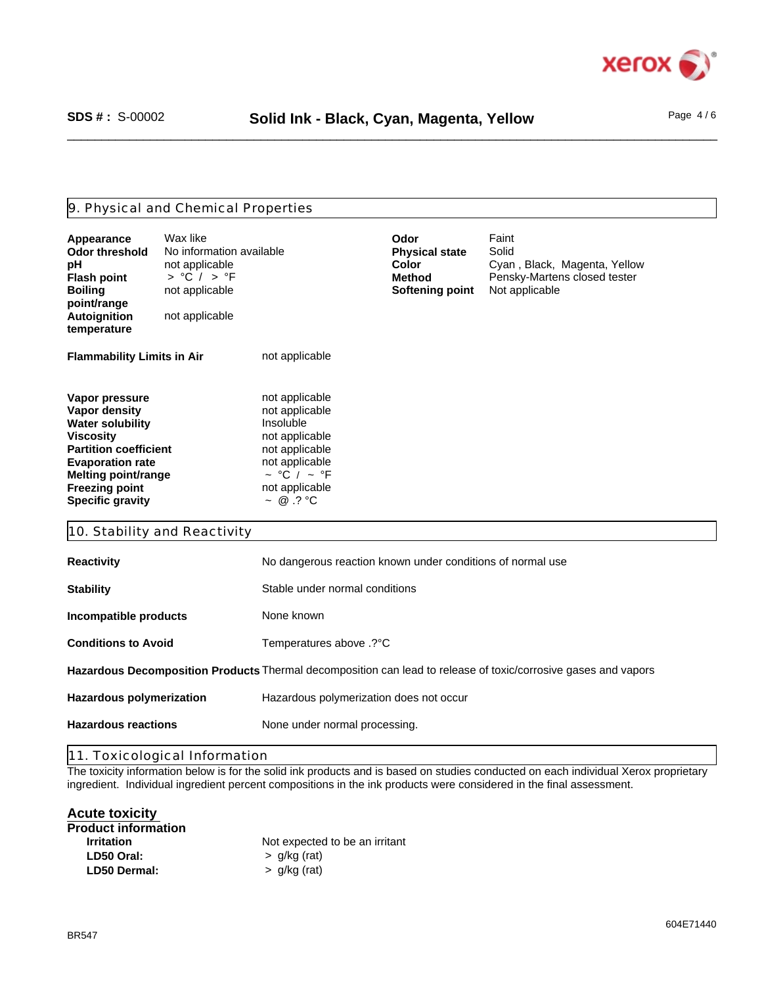

## 9. Physical and Chemical Properties

| Appearance<br><b>Odor threshold</b><br>рH<br><b>Flash point</b><br><b>Boiling</b><br>point/range<br>Autoignition<br>temperature                                                                                             | Wax like<br>No information available<br>not applicable<br>$>$ °C / $>$ °F<br>not applicable<br>not applicable |                                                                                                                                                                  | Odor<br><b>Physical state</b><br>Color<br><b>Method</b><br><b>Softening point</b> | Faint<br>Solid<br>Cyan, Black, Magenta, Yellow<br>Pensky-Martens closed tester<br>Not applicable               |
|-----------------------------------------------------------------------------------------------------------------------------------------------------------------------------------------------------------------------------|---------------------------------------------------------------------------------------------------------------|------------------------------------------------------------------------------------------------------------------------------------------------------------------|-----------------------------------------------------------------------------------|----------------------------------------------------------------------------------------------------------------|
| <b>Flammability Limits in Air</b>                                                                                                                                                                                           |                                                                                                               | not applicable                                                                                                                                                   |                                                                                   |                                                                                                                |
| Vapor pressure<br>Vapor density<br><b>Water solubility</b><br><b>Viscosity</b><br><b>Partition coefficient</b><br><b>Evaporation rate</b><br><b>Melting point/range</b><br><b>Freezing point</b><br><b>Specific gravity</b> |                                                                                                               | not applicable<br>not applicable<br>Insoluble<br>not applicable<br>not applicable<br>not applicable<br>$\sim$ °C / $\sim$ °F<br>not applicable<br>$\sim$ @ .? °C |                                                                                   |                                                                                                                |
| 10. Stability and Reactivity                                                                                                                                                                                                |                                                                                                               |                                                                                                                                                                  |                                                                                   |                                                                                                                |
| <b>Reactivity</b>                                                                                                                                                                                                           |                                                                                                               | No dangerous reaction known under conditions of normal use                                                                                                       |                                                                                   |                                                                                                                |
| <b>Stability</b>                                                                                                                                                                                                            |                                                                                                               | Stable under normal conditions                                                                                                                                   |                                                                                   |                                                                                                                |
| Incompatible products                                                                                                                                                                                                       |                                                                                                               | None known                                                                                                                                                       |                                                                                   |                                                                                                                |
| <b>Conditions to Avoid</b>                                                                                                                                                                                                  |                                                                                                               | Temperatures above .? °C                                                                                                                                         |                                                                                   |                                                                                                                |
|                                                                                                                                                                                                                             |                                                                                                               |                                                                                                                                                                  |                                                                                   | Hazardous Decomposition Products Thermal decomposition can lead to release of toxic/corrosive gases and vapors |
| <b>Hazardous polymerization</b>                                                                                                                                                                                             |                                                                                                               | Hazardous polymerization does not occur                                                                                                                          |                                                                                   |                                                                                                                |
| <b>Hazardous reactions</b>                                                                                                                                                                                                  |                                                                                                               | None under normal processing.                                                                                                                                    |                                                                                   |                                                                                                                |

11. Toxicological Information

The toxicity information below is for the solid ink products and is based on studies conducted on each individual Xerox proprietary ingredient. Individual ingredient percent compositions in the ink products were considered in the final assessment.

## **Acute toxicity**

| Not expected to be an irritant |
|--------------------------------|
|                                |
|                                |
|                                |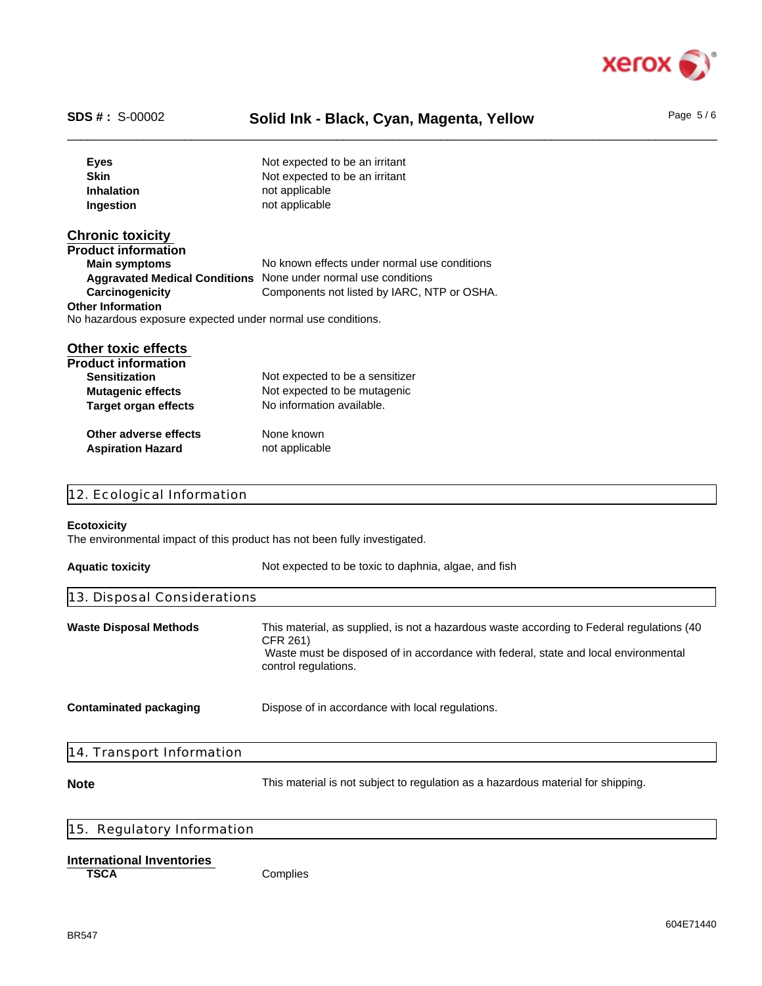

# SDS #: S-00002 **Solid Ink - Black, Cyan, Magenta, Yellow** Page 5/6

| <b>Eyes</b>                                                               | Not expected to be an irritant                                                                  |  |  |  |
|---------------------------------------------------------------------------|-------------------------------------------------------------------------------------------------|--|--|--|
| <b>Skin</b>                                                               | Not expected to be an irritant                                                                  |  |  |  |
| <b>Inhalation</b>                                                         | not applicable                                                                                  |  |  |  |
| Ingestion                                                                 | not applicable                                                                                  |  |  |  |
|                                                                           |                                                                                                 |  |  |  |
| <b>Chronic toxicity</b>                                                   |                                                                                                 |  |  |  |
| <b>Product information</b>                                                |                                                                                                 |  |  |  |
| <b>Main symptoms</b>                                                      | No known effects under normal use conditions                                                    |  |  |  |
|                                                                           | Aggravated Medical Conditions None under normal use conditions                                  |  |  |  |
| Carcinogenicity                                                           | Components not listed by IARC, NTP or OSHA.                                                     |  |  |  |
| <b>Other Information</b>                                                  |                                                                                                 |  |  |  |
| No hazardous exposure expected under normal use conditions.               |                                                                                                 |  |  |  |
| <b>Other toxic effects</b>                                                |                                                                                                 |  |  |  |
| <b>Product information</b>                                                |                                                                                                 |  |  |  |
| <b>Sensitization</b>                                                      | Not expected to be a sensitizer                                                                 |  |  |  |
| <b>Mutagenic effects</b>                                                  | Not expected to be mutagenic                                                                    |  |  |  |
| <b>Target organ effects</b>                                               | No information available.                                                                       |  |  |  |
|                                                                           |                                                                                                 |  |  |  |
| Other adverse effects                                                     | None known                                                                                      |  |  |  |
| <b>Aspiration Hazard</b>                                                  | not applicable                                                                                  |  |  |  |
|                                                                           |                                                                                                 |  |  |  |
|                                                                           |                                                                                                 |  |  |  |
| 12. Ecological Information                                                |                                                                                                 |  |  |  |
| Ecotoxicity                                                               |                                                                                                 |  |  |  |
| The environmental impact of this product has not been fully investigated. |                                                                                                 |  |  |  |
|                                                                           |                                                                                                 |  |  |  |
| <b>Aquatic toxicity</b>                                                   | Not expected to be toxic to daphnia, algae, and fish                                            |  |  |  |
|                                                                           |                                                                                                 |  |  |  |
| 13. Disposal Considerations                                               |                                                                                                 |  |  |  |
|                                                                           |                                                                                                 |  |  |  |
| <b>Waste Disposal Methods</b>                                             | This material, as supplied, is not a hazardous waste according to Federal regulations (40       |  |  |  |
|                                                                           | CFR 261)<br>Waste must be disposed of in accordance with federal, state and local environmental |  |  |  |
|                                                                           | control regulations.                                                                            |  |  |  |
|                                                                           |                                                                                                 |  |  |  |
|                                                                           |                                                                                                 |  |  |  |
| <b>Contaminated packaging</b>                                             | Dispose of in accordance with local regulations.                                                |  |  |  |
|                                                                           |                                                                                                 |  |  |  |
|                                                                           |                                                                                                 |  |  |  |
| 14. Transport Information                                                 |                                                                                                 |  |  |  |
|                                                                           | This material is not subject to regulation as a hazardous material for shipping.                |  |  |  |
| <b>Note</b>                                                               |                                                                                                 |  |  |  |
|                                                                           |                                                                                                 |  |  |  |

# 15. Regulatory Information

### **International Inventories**

**TSCA** Complies